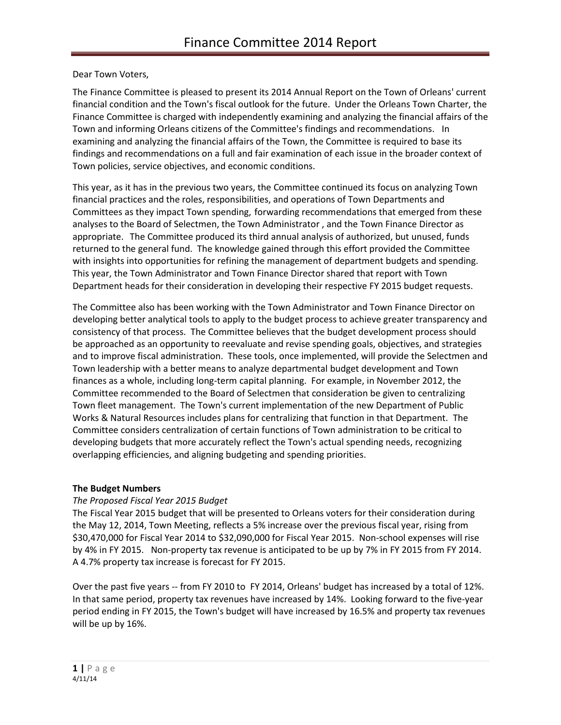Dear Town Voters,

The Finance Committee is pleased to present its 2014 Annual Report on the Town of Orleans' current financial condition and the Town's fiscal outlook for the future. Under the Orleans Town Charter, the Finance Committee is charged with independently examining and analyzing the financial affairs of the Town and informing Orleans citizens of the Committee's findings and recommendations. In examining and analyzing the financial affairs of the Town, the Committee is required to base its findings and recommendations on a full and fair examination of each issue in the broader context of Town policies, service objectives, and economic conditions.

This year, as it has in the previous two years, the Committee continued its focus on analyzing Town financial practices and the roles, responsibilities, and operations of Town Departments and Committees as they impact Town spending, forwarding recommendations that emerged from these analyses to the Board of Selectmen, the Town Administrator , and the Town Finance Director as appropriate. The Committee produced its third annual analysis of authorized, but unused, funds returned to the general fund. The knowledge gained through this effort provided the Committee with insights into opportunities for refining the management of department budgets and spending. This year, the Town Administrator and Town Finance Director shared that report with Town Department heads for their consideration in developing their respective FY 2015 budget requests.

The Committee also has been working with the Town Administrator and Town Finance Director on developing better analytical tools to apply to the budget process to achieve greater transparency and consistency of that process. The Committee believes that the budget development process should be approached as an opportunity to reevaluate and revise spending goals, objectives, and strategies and to improve fiscal administration. These tools, once implemented, will provide the Selectmen and Town leadership with a better means to analyze departmental budget development and Town finances as a whole, including long-term capital planning. For example, in November 2012, the Committee recommended to the Board of Selectmen that consideration be given to centralizing Town fleet management. The Town's current implementation of the new Department of Public Works & Natural Resources includes plans for centralizing that function in that Department. The Committee considers centralization of certain functions of Town administration to be critical to developing budgets that more accurately reflect the Town's actual spending needs, recognizing overlapping efficiencies, and aligning budgeting and spending priorities.

### **The Budget Numbers**

# *The Proposed Fiscal Year 2015 Budget*

The Fiscal Year 2015 budget that will be presented to Orleans voters for their consideration during the May 12, 2014, Town Meeting, reflects a 5% increase over the previous fiscal year, rising from \$30,470,000 for Fiscal Year 2014 to \$32,090,000 for Fiscal Year 2015. Non-school expenses will rise by 4% in FY 2015. Non-property tax revenue is anticipated to be up by 7% in FY 2015 from FY 2014. A 4.7% property tax increase is forecast for FY 2015.

Over the past five years -- from FY 2010 to FY 2014, Orleans' budget has increased by a total of 12%. In that same period, property tax revenues have increased by 14%. Looking forward to the five-year period ending in FY 2015, the Town's budget will have increased by 16.5% and property tax revenues will be up by 16%.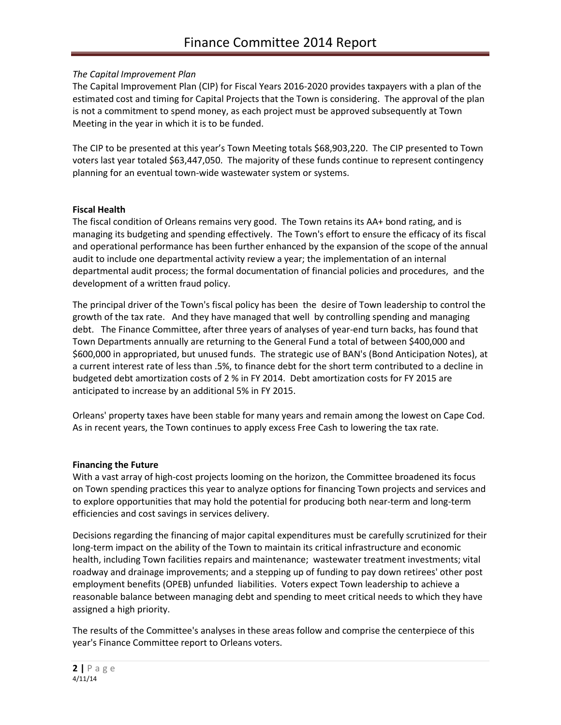## *The Capital Improvement Plan*

The Capital Improvement Plan (CIP) for Fiscal Years 2016-2020 provides taxpayers with a plan of the estimated cost and timing for Capital Projects that the Town is considering. The approval of the plan is not a commitment to spend money, as each project must be approved subsequently at Town Meeting in the year in which it is to be funded.

The CIP to be presented at this year's Town Meeting totals \$68,903,220. The CIP presented to Town voters last year totaled \$63,447,050. The majority of these funds continue to represent contingency planning for an eventual town-wide wastewater system or systems.

## **Fiscal Health**

The fiscal condition of Orleans remains very good. The Town retains its AA+ bond rating, and is managing its budgeting and spending effectively. The Town's effort to ensure the efficacy of its fiscal and operational performance has been further enhanced by the expansion of the scope of the annual audit to include one departmental activity review a year; the implementation of an internal departmental audit process; the formal documentation of financial policies and procedures, and the development of a written fraud policy.

The principal driver of the Town's fiscal policy has been the desire of Town leadership to control the growth of the tax rate. And they have managed that well by controlling spending and managing debt. The Finance Committee, after three years of analyses of year-end turn backs, has found that Town Departments annually are returning to the General Fund a total of between \$400,000 and \$600,000 in appropriated, but unused funds. The strategic use of BAN's (Bond Anticipation Notes), at a current interest rate of less than .5%, to finance debt for the short term contributed to a decline in budgeted debt amortization costs of 2 % in FY 2014. Debt amortization costs for FY 2015 are anticipated to increase by an additional 5% in FY 2015.

Orleans' property taxes have been stable for many years and remain among the lowest on Cape Cod. As in recent years, the Town continues to apply excess Free Cash to lowering the tax rate.

### **Financing the Future**

With a vast array of high-cost projects looming on the horizon, the Committee broadened its focus on Town spending practices this year to analyze options for financing Town projects and services and to explore opportunities that may hold the potential for producing both near-term and long-term efficiencies and cost savings in services delivery.

Decisions regarding the financing of major capital expenditures must be carefully scrutinized for their long-term impact on the ability of the Town to maintain its critical infrastructure and economic health, including Town facilities repairs and maintenance; wastewater treatment investments; vital roadway and drainage improvements; and a stepping up of funding to pay down retirees' other post employment benefits (OPEB) unfunded liabilities. Voters expect Town leadership to achieve a reasonable balance between managing debt and spending to meet critical needs to which they have assigned a high priority.

The results of the Committee's analyses in these areas follow and comprise the centerpiece of this year's Finance Committee report to Orleans voters.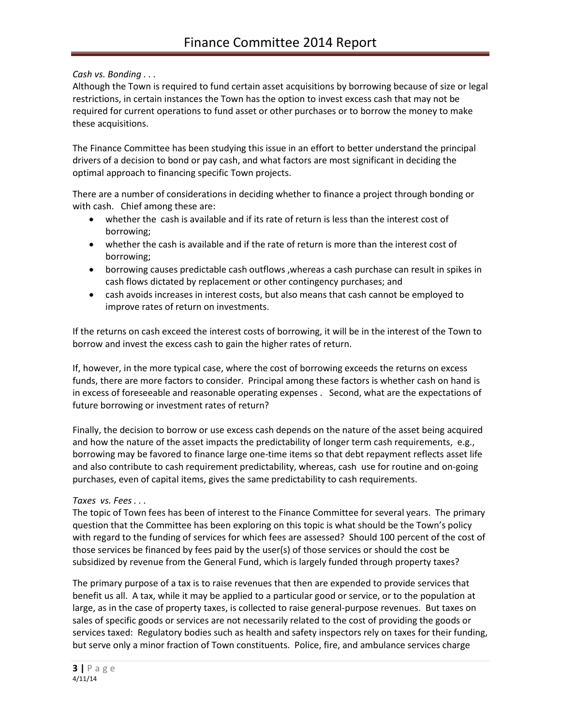*Cash vs. Bonding . . .*

Although the Town is required to fund certain asset acquisitions by borrowing because of size or legal restrictions, in certain instances the Town has the option to invest excess cash that may not be required for current operations to fund asset or other purchases or to borrow the money to make these acquisitions.

The Finance Committee has been studying this issue in an effort to better understand the principal drivers of a decision to bond or pay cash, and what factors are most significant in deciding the optimal approach to financing specific Town projects.

There are a number of considerations in deciding whether to finance a project through bonding or with cash. Chief among these are:

- whether the cash is available and if its rate of return is less than the interest cost of borrowing;
- whether the cash is available and if the rate of return is more than the interest cost of borrowing;
- borrowing causes predictable cash outflows ,whereas a cash purchase can result in spikes in cash flows dictated by replacement or other contingency purchases; and
- cash avoids increases in interest costs, but also means that cash cannot be employed to improve rates of return on investments.

If the returns on cash exceed the interest costs of borrowing, it will be in the interest of the Town to borrow and invest the excess cash to gain the higher rates of return.

If, however, in the more typical case, where the cost of borrowing exceeds the returns on excess funds, there are more factors to consider. Principal among these factors is whether cash on hand is in excess of foreseeable and reasonable operating expenses . Second, what are the expectations of future borrowing or investment rates of return?

Finally, the decision to borrow or use excess cash depends on the nature of the asset being acquired and how the nature of the asset impacts the predictability of longer term cash requirements, e.g., borrowing may be favored to finance large one-time items so that debt repayment reflects asset life and also contribute to cash requirement predictability, whereas, cash use for routine and on-going purchases, even of capital items, gives the same predictability to cash requirements.

# *Taxes vs. Fees . . .*

The topic of Town fees has been of interest to the Finance Committee for several years. The primary question that the Committee has been exploring on this topic is what should be the Town's policy with regard to the funding of services for which fees are assessed? Should 100 percent of the cost of those services be financed by fees paid by the user(s) of those services or should the cost be subsidized by revenue from the General Fund, which is largely funded through property taxes?

The primary purpose of a tax is to raise revenues that then are expended to provide services that benefit us all. A tax, while it may be applied to a particular good or service, or to the population at large, as in the case of property taxes, is collected to raise general-purpose revenues. But taxes on sales of specific goods or services are not necessarily related to the cost of providing the goods or services taxed: Regulatory bodies such as health and safety inspectors rely on taxes for their funding, but serve only a minor fraction of Town constituents. Police, fire, and ambulance services charge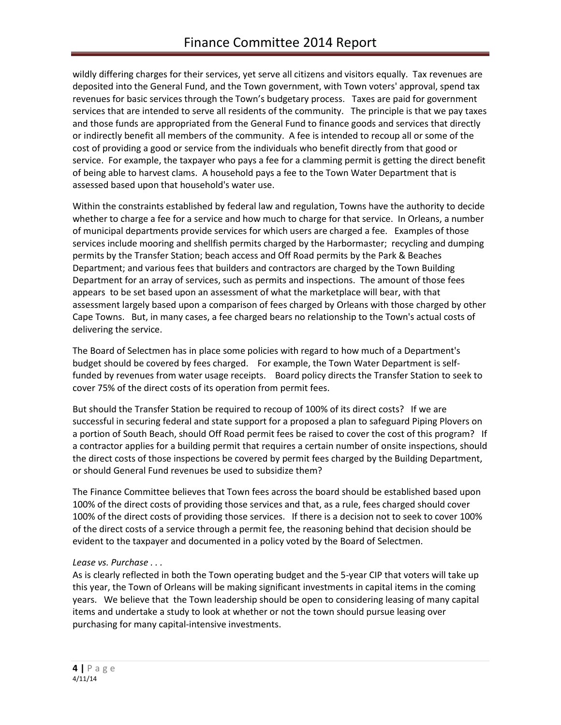wildly differing charges for their services, yet serve all citizens and visitors equally. Tax revenues are deposited into the General Fund, and the Town government, with Town voters' approval, spend tax revenues for basic services through the Town's budgetary process. Taxes are paid for government services that are intended to serve all residents of the community. The principle is that we pay taxes and those funds are appropriated from the General Fund to finance goods and services that directly or indirectly benefit all members of the community. A fee is intended to recoup all or some of the cost of providing a good or service from the individuals who benefit directly from that good or service. For example, the taxpayer who pays a fee for a clamming permit is getting the direct benefit of being able to harvest clams. A household pays a fee to the Town Water Department that is assessed based upon that household's water use.

Within the constraints established by federal law and regulation, Towns have the authority to decide whether to charge a fee for a service and how much to charge for that service. In Orleans, a number of municipal departments provide services for which users are charged a fee. Examples of those services include mooring and shellfish permits charged by the Harbormaster; recycling and dumping permits by the Transfer Station; beach access and Off Road permits by the Park & Beaches Department; and various fees that builders and contractors are charged by the Town Building Department for an array of services, such as permits and inspections. The amount of those fees appears to be set based upon an assessment of what the marketplace will bear, with that assessment largely based upon a comparison of fees charged by Orleans with those charged by other Cape Towns. But, in many cases, a fee charged bears no relationship to the Town's actual costs of delivering the service.

The Board of Selectmen has in place some policies with regard to how much of a Department's budget should be covered by fees charged. For example, the Town Water Department is selffunded by revenues from water usage receipts. Board policy directs the Transfer Station to seek to cover 75% of the direct costs of its operation from permit fees.

But should the Transfer Station be required to recoup of 100% of its direct costs? If we are successful in securing federal and state support for a proposed a plan to safeguard Piping Plovers on a portion of South Beach, should Off Road permit fees be raised to cover the cost of this program? If a contractor applies for a building permit that requires a certain number of onsite inspections, should the direct costs of those inspections be covered by permit fees charged by the Building Department, or should General Fund revenues be used to subsidize them?

The Finance Committee believes that Town fees across the board should be established based upon 100% of the direct costs of providing those services and that, as a rule, fees charged should cover 100% of the direct costs of providing those services. If there is a decision not to seek to cover 100% of the direct costs of a service through a permit fee, the reasoning behind that decision should be evident to the taxpayer and documented in a policy voted by the Board of Selectmen.

### *Lease vs. Purchase . . .*

As is clearly reflected in both the Town operating budget and the 5-year CIP that voters will take up this year, the Town of Orleans will be making significant investments in capital items in the coming years. We believe that the Town leadership should be open to considering leasing of many capital items and undertake a study to look at whether or not the town should pursue leasing over purchasing for many capital-intensive investments.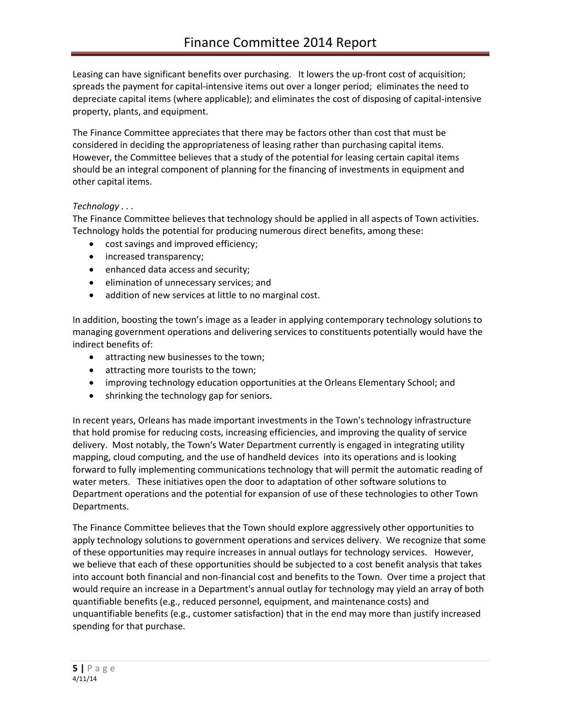Leasing can have significant benefits over purchasing. It lowers the up-front cost of acquisition; spreads the payment for capital-intensive items out over a longer period; eliminates the need to depreciate capital items (where applicable); and eliminates the cost of disposing of capital-intensive property, plants, and equipment.

The Finance Committee appreciates that there may be factors other than cost that must be considered in deciding the appropriateness of leasing rather than purchasing capital items. However, the Committee believes that a study of the potential for leasing certain capital items should be an integral component of planning for the financing of investments in equipment and other capital items.

## *Technology . . .*

The Finance Committee believes that technology should be applied in all aspects of Town activities. Technology holds the potential for producing numerous direct benefits, among these:

- cost savings and improved efficiency;
- increased transparency;
- enhanced data access and security;
- elimination of unnecessary services; and
- addition of new services at little to no marginal cost.

In addition, boosting the town's image as a leader in applying contemporary technology solutions to managing government operations and delivering services to constituents potentially would have the indirect benefits of:

- attracting new businesses to the town;
- attracting more tourists to the town;
- improving technology education opportunities at the Orleans Elementary School; and
- shrinking the technology gap for seniors.

In recent years, Orleans has made important investments in the Town's technology infrastructure that hold promise for reducing costs, increasing efficiencies, and improving the quality of service delivery. Most notably, the Town's Water Department currently is engaged in integrating utility mapping, cloud computing, and the use of handheld devices into its operations and is looking forward to fully implementing communications technology that will permit the automatic reading of water meters. These initiatives open the door to adaptation of other software solutions to Department operations and the potential for expansion of use of these technologies to other Town Departments.

The Finance Committee believes that the Town should explore aggressively other opportunities to apply technology solutions to government operations and services delivery. We recognize that some of these opportunities may require increases in annual outlays for technology services. However, we believe that each of these opportunities should be subjected to a cost benefit analysis that takes into account both financial and non-financial cost and benefits to the Town. Over time a project that would require an increase in a Department's annual outlay for technology may yield an array of both quantifiable benefits (e.g., reduced personnel, equipment, and maintenance costs) and unquantifiable benefits (e.g., customer satisfaction) that in the end may more than justify increased spending for that purchase.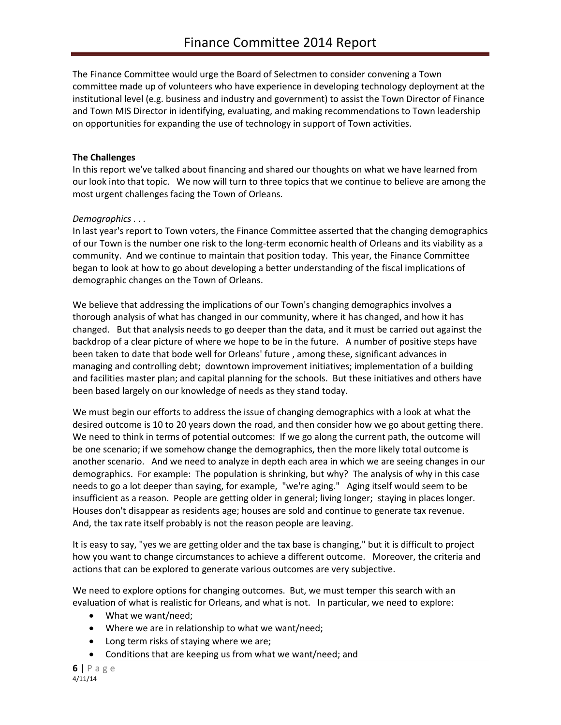The Finance Committee would urge the Board of Selectmen to consider convening a Town committee made up of volunteers who have experience in developing technology deployment at the institutional level (e.g. business and industry and government) to assist the Town Director of Finance and Town MIS Director in identifying, evaluating, and making recommendations to Town leadership on opportunities for expanding the use of technology in support of Town activities.

### **The Challenges**

In this report we've talked about financing and shared our thoughts on what we have learned from our look into that topic. We now will turn to three topics that we continue to believe are among the most urgent challenges facing the Town of Orleans.

## *Demographics . . .*

In last year's report to Town voters, the Finance Committee asserted that the changing demographics of our Town is the number one risk to the long-term economic health of Orleans and its viability as a community. And we continue to maintain that position today. This year, the Finance Committee began to look at how to go about developing a better understanding of the fiscal implications of demographic changes on the Town of Orleans.

We believe that addressing the implications of our Town's changing demographics involves a thorough analysis of what has changed in our community, where it has changed, and how it has changed. But that analysis needs to go deeper than the data, and it must be carried out against the backdrop of a clear picture of where we hope to be in the future. A number of positive steps have been taken to date that bode well for Orleans' future , among these, significant advances in managing and controlling debt; downtown improvement initiatives; implementation of a building and facilities master plan; and capital planning for the schools. But these initiatives and others have been based largely on our knowledge of needs as they stand today.

We must begin our efforts to address the issue of changing demographics with a look at what the desired outcome is 10 to 20 years down the road, and then consider how we go about getting there. We need to think in terms of potential outcomes: If we go along the current path, the outcome will be one scenario; if we somehow change the demographics, then the more likely total outcome is another scenario. And we need to analyze in depth each area in which we are seeing changes in our demographics. For example: The population is shrinking, but why? The analysis of why in this case needs to go a lot deeper than saying, for example, "we're aging." Aging itself would seem to be insufficient as a reason. People are getting older in general; living longer; staying in places longer. Houses don't disappear as residents age; houses are sold and continue to generate tax revenue. And, the tax rate itself probably is not the reason people are leaving.

It is easy to say, "yes we are getting older and the tax base is changing," but it is difficult to project how you want to change circumstances to achieve a different outcome. Moreover, the criteria and actions that can be explored to generate various outcomes are very subjective.

We need to explore options for changing outcomes. But, we must temper this search with an evaluation of what is realistic for Orleans, and what is not. In particular, we need to explore:

- What we want/need;
- Where we are in relationship to what we want/need;
- Long term risks of staying where we are;
- Conditions that are keeping us from what we want/need; and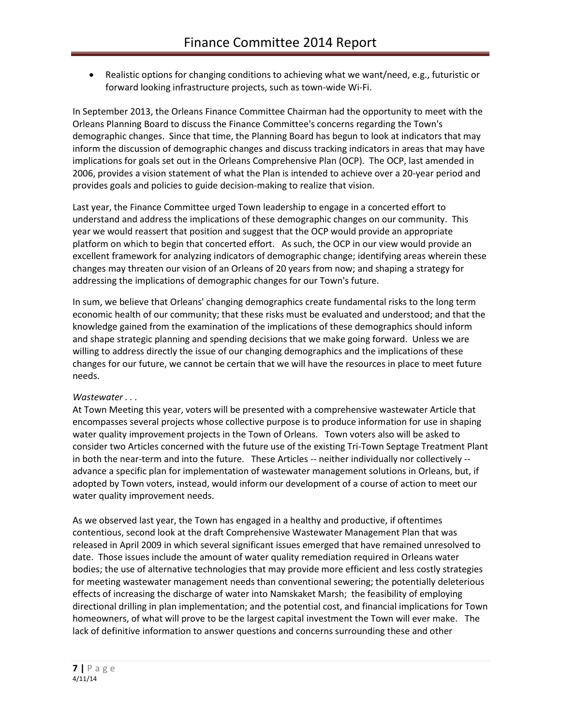Realistic options for changing conditions to achieving what we want/need, e.g., futuristic or forward looking infrastructure projects, such as town-wide Wi-Fi.

In September 2013, the Orleans Finance Committee Chairman had the opportunity to meet with the Orleans Planning Board to discuss the Finance Committee's concerns regarding the Town's demographic changes. Since that time, the Planning Board has begun to look at indicators that may inform the discussion of demographic changes and discuss tracking indicators in areas that may have implications for goals set out in the Orleans Comprehensive Plan (OCP). The OCP, last amended in 2006, provides a vision statement of what the Plan is intended to achieve over a 20-year period and provides goals and policies to guide decision-making to realize that vision.

Last year, the Finance Committee urged Town leadership to engage in a concerted effort to understand and address the implications of these demographic changes on our community. This year we would reassert that position and suggest that the OCP would provide an appropriate platform on which to begin that concerted effort. As such, the OCP in our view would provide an excellent framework for analyzing indicators of demographic change; identifying areas wherein these changes may threaten our vision of an Orleans of 20 years from now; and shaping a strategy for addressing the implications of demographic changes for our Town's future.

In sum, we believe that Orleans' changing demographics create fundamental risks to the long term economic health of our community; that these risks must be evaluated and understood; and that the knowledge gained from the examination of the implications of these demographics should inform and shape strategic planning and spending decisions that we make going forward. Unless we are willing to address directly the issue of our changing demographics and the implications of these changes for our future, we cannot be certain that we will have the resources in place to meet future needs.

### *Wastewater . . .*

At Town Meeting this year, voters will be presented with a comprehensive wastewater Article that encompasses several projects whose collective purpose is to produce information for use in shaping water quality improvement projects in the Town of Orleans. Town voters also will be asked to consider two Articles concerned with the future use of the existing Tri-Town Septage Treatment Plant in both the near-term and into the future. These Articles -- neither individually nor collectively - advance a specific plan for implementation of wastewater management solutions in Orleans, but, if adopted by Town voters, instead, would inform our development of a course of action to meet our water quality improvement needs.

As we observed last year, the Town has engaged in a healthy and productive, if oftentimes contentious, second look at the draft Comprehensive Wastewater Management Plan that was released in April 2009 in which several significant issues emerged that have remained unresolved to date. Those issues include the amount of water quality remediation required in Orleans water bodies; the use of alternative technologies that may provide more efficient and less costly strategies for meeting wastewater management needs than conventional sewering; the potentially deleterious effects of increasing the discharge of water into Namskaket Marsh; the feasibility of employing directional drilling in plan implementation; and the potential cost, and financial implications for Town homeowners, of what will prove to be the largest capital investment the Town will ever make. The lack of definitive information to answer questions and concerns surrounding these and other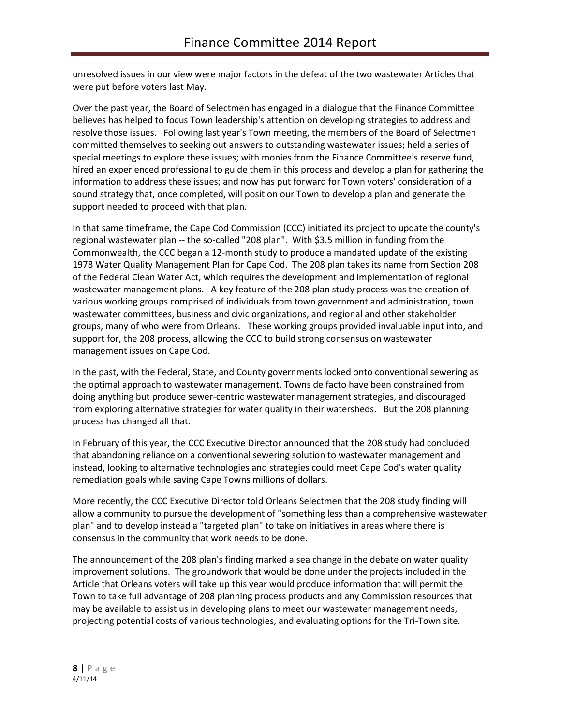unresolved issues in our view were major factors in the defeat of the two wastewater Articles that were put before voters last May.

Over the past year, the Board of Selectmen has engaged in a dialogue that the Finance Committee believes has helped to focus Town leadership's attention on developing strategies to address and resolve those issues. Following last year's Town meeting, the members of the Board of Selectmen committed themselves to seeking out answers to outstanding wastewater issues; held a series of special meetings to explore these issues; with monies from the Finance Committee's reserve fund, hired an experienced professional to guide them in this process and develop a plan for gathering the information to address these issues; and now has put forward for Town voters' consideration of a sound strategy that, once completed, will position our Town to develop a plan and generate the support needed to proceed with that plan.

In that same timeframe, the Cape Cod Commission (CCC) initiated its project to update the county's regional wastewater plan -- the so-called "208 plan". With \$3.5 million in funding from the Commonwealth, the CCC began a 12-month study to produce a mandated update of the existing 1978 Water Quality Management Plan for Cape Cod. The 208 plan takes its name from Section 208 of the Federal Clean Water Act, which requires the development and implementation of regional wastewater management plans. A key feature of the 208 plan study process was the creation of various working groups comprised of individuals from town government and administration, town wastewater committees, business and civic organizations, and regional and other stakeholder groups, many of who were from Orleans. These working groups provided invaluable input into, and support for, the 208 process, allowing the CCC to build strong consensus on wastewater management issues on Cape Cod.

In the past, with the Federal, State, and County governments locked onto conventional sewering as the optimal approach to wastewater management, Towns de facto have been constrained from doing anything but produce sewer-centric wastewater management strategies, and discouraged from exploring alternative strategies for water quality in their watersheds. But the 208 planning process has changed all that.

In February of this year, the CCC Executive Director announced that the 208 study had concluded that abandoning reliance on a conventional sewering solution to wastewater management and instead, looking to alternative technologies and strategies could meet Cape Cod's water quality remediation goals while saving Cape Towns millions of dollars.

More recently, the CCC Executive Director told Orleans Selectmen that the 208 study finding will allow a community to pursue the development of "something less than a comprehensive wastewater plan" and to develop instead a "targeted plan" to take on initiatives in areas where there is consensus in the community that work needs to be done.

The announcement of the 208 plan's finding marked a sea change in the debate on water quality improvement solutions. The groundwork that would be done under the projects included in the Article that Orleans voters will take up this year would produce information that will permit the Town to take full advantage of 208 planning process products and any Commission resources that may be available to assist us in developing plans to meet our wastewater management needs, projecting potential costs of various technologies, and evaluating options for the Tri-Town site.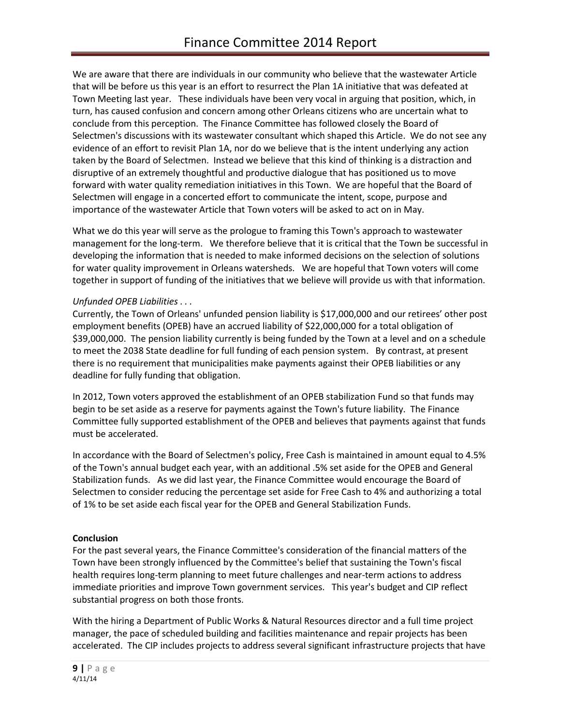We are aware that there are individuals in our community who believe that the wastewater Article that will be before us this year is an effort to resurrect the Plan 1A initiative that was defeated at Town Meeting last year. These individuals have been very vocal in arguing that position, which, in turn, has caused confusion and concern among other Orleans citizens who are uncertain what to conclude from this perception. The Finance Committee has followed closely the Board of Selectmen's discussions with its wastewater consultant which shaped this Article. We do not see any evidence of an effort to revisit Plan 1A, nor do we believe that is the intent underlying any action taken by the Board of Selectmen. Instead we believe that this kind of thinking is a distraction and disruptive of an extremely thoughtful and productive dialogue that has positioned us to move forward with water quality remediation initiatives in this Town. We are hopeful that the Board of Selectmen will engage in a concerted effort to communicate the intent, scope, purpose and importance of the wastewater Article that Town voters will be asked to act on in May.

What we do this year will serve as the prologue to framing this Town's approach to wastewater management for the long-term. We therefore believe that it is critical that the Town be successful in developing the information that is needed to make informed decisions on the selection of solutions for water quality improvement in Orleans watersheds. We are hopeful that Town voters will come together in support of funding of the initiatives that we believe will provide us with that information.

## *Unfunded OPEB Liabilities . . .*

Currently, the Town of Orleans' unfunded pension liability is \$17,000,000 and our retirees' other post employment benefits (OPEB) have an accrued liability of \$22,000,000 for a total obligation of \$39,000,000. The pension liability currently is being funded by the Town at a level and on a schedule to meet the 2038 State deadline for full funding of each pension system. By contrast, at present there is no requirement that municipalities make payments against their OPEB liabilities or any deadline for fully funding that obligation.

In 2012, Town voters approved the establishment of an OPEB stabilization Fund so that funds may begin to be set aside as a reserve for payments against the Town's future liability. The Finance Committee fully supported establishment of the OPEB and believes that payments against that funds must be accelerated.

In accordance with the Board of Selectmen's policy, Free Cash is maintained in amount equal to 4.5% of the Town's annual budget each year, with an additional .5% set aside for the OPEB and General Stabilization funds. As we did last year, the Finance Committee would encourage the Board of Selectmen to consider reducing the percentage set aside for Free Cash to 4% and authorizing a total of 1% to be set aside each fiscal year for the OPEB and General Stabilization Funds.

### **Conclusion**

For the past several years, the Finance Committee's consideration of the financial matters of the Town have been strongly influenced by the Committee's belief that sustaining the Town's fiscal health requires long-term planning to meet future challenges and near-term actions to address immediate priorities and improve Town government services. This year's budget and CIP reflect substantial progress on both those fronts.

With the hiring a Department of Public Works & Natural Resources director and a full time project manager, the pace of scheduled building and facilities maintenance and repair projects has been accelerated. The CIP includes projects to address several significant infrastructure projects that have